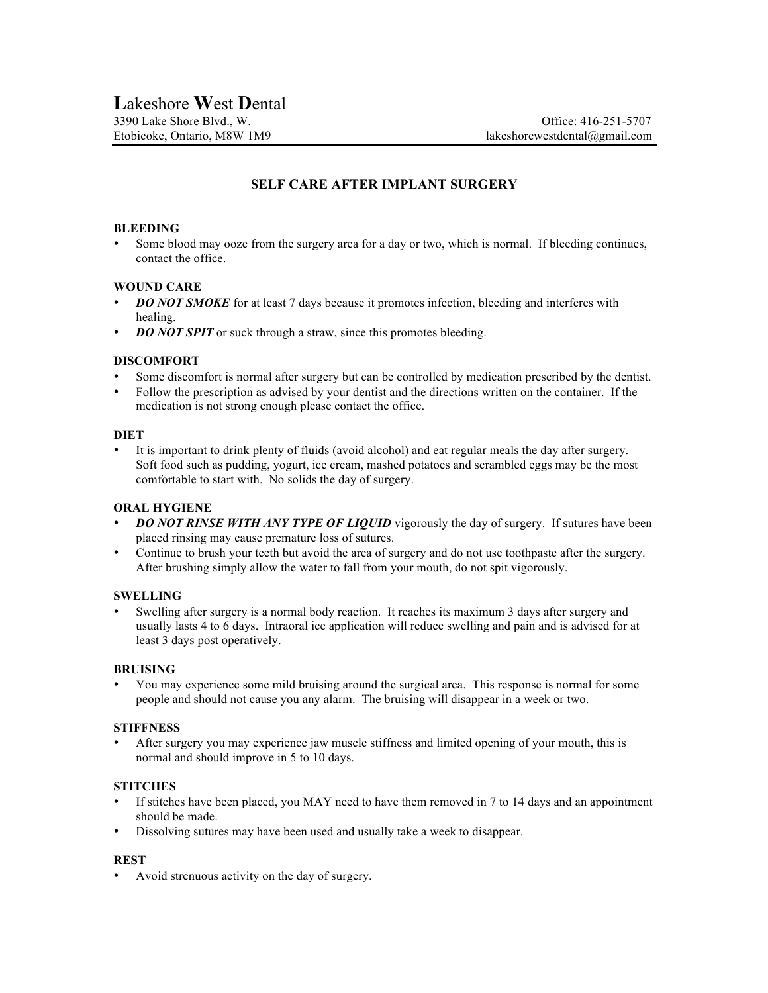# **SELF CARE AFTER IMPLANT SURGERY**

### **BLEEDING**

• Some blood may ooze from the surgery area for a day or two, which is normal. If bleeding continues, contact the office.

## **WOUND CARE**

- **DO NOT SMOKE** for at least 7 days because it promotes infection, bleeding and interferes with healing.
- *DO NOT SPIT* or suck through a straw, since this promotes bleeding.

## **DISCOMFORT**

- Some discomfort is normal after surgery but can be controlled by medication prescribed by the dentist.
- Follow the prescription as advised by your dentist and the directions written on the container. If the medication is not strong enough please contact the office.

### **DIET**

• It is important to drink plenty of fluids (avoid alcohol) and eat regular meals the day after surgery. Soft food such as pudding, yogurt, ice cream, mashed potatoes and scrambled eggs may be the most comfortable to start with. No solids the day of surgery.

### **ORAL HYGIENE**

- **DO NOT RINSE WITH ANY TYPE OF LIQUID** vigorously the day of surgery. If sutures have been placed rinsing may cause premature loss of sutures.
- Continue to brush your teeth but avoid the area of surgery and do not use toothpaste after the surgery. After brushing simply allow the water to fall from your mouth, do not spit vigorously.

# **SWELLING**

• Swelling after surgery is a normal body reaction. It reaches its maximum 3 days after surgery and usually lasts 4 to 6 days. Intraoral ice application will reduce swelling and pain and is advised for at least 3 days post operatively.

### **BRUISING**

• You may experience some mild bruising around the surgical area. This response is normal for some people and should not cause you any alarm. The bruising will disappear in a week or two.

### **STIFFNESS**

• After surgery you may experience jaw muscle stiffness and limited opening of your mouth, this is normal and should improve in 5 to 10 days.

# **STITCHES**

- If stitches have been placed, you MAY need to have them removed in 7 to 14 days and an appointment should be made.
- Dissolving sutures may have been used and usually take a week to disappear.

### **REST**

• Avoid strenuous activity on the day of surgery.